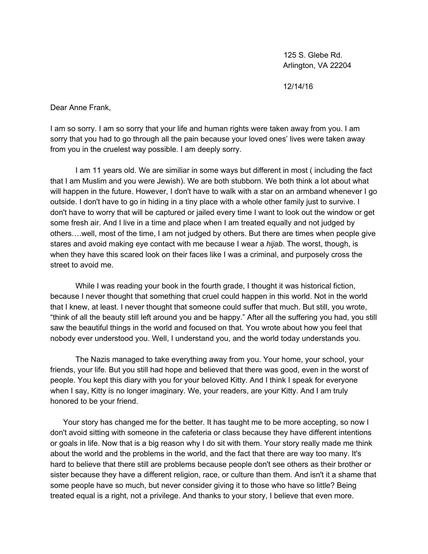125 S. Glebe Rd. Arlington, VA 22204

12/14/16

Dear Anne Frank,

I am so sorry. I am so sorry that your life and human rights were taken away from you. I am sorry that you had to go through all the pain because your loved ones' lives were taken away from you in the cruelest way possible. I am deeply sorry.

I am 11 years old. We are similiar in some ways but different in most ( including the fact that I am Muslim and you were Jewish). We are both stubborn. We both think a lot about what will happen in the future. However, I don't have to walk with a star on an armband whenever I go outside. I don't have to go in hiding in a tiny place with a whole other family just to survive. I don't have to worry that will be captured or jailed every time I want to look out the window or get some fresh air. And I live in a time and place when I am treated equally and not judged by others….well, most of the time, I am not judged by others. But there are times when people give stares and avoid making eye contact with me because I wear a *hijab*. The worst, though, is when they have this scared look on their faces like I was a criminal, and purposely cross the street to avoid me.

While I was reading your book in the fourth grade, I thought it was historical fiction, because I never thought that something that cruel could happen in this world. Not in the world that I knew, at least. I never thought that someone could suffer that much. But still, you wrote, "think of all the beauty still left around you and be happy." After all the suffering you had, you still saw the beautiful things in the world and focused on that. You wrote about how you feel that nobody ever understood you. Well, I understand you, and the world today understands you.

The Nazis managed to take everything away from you. Your home, your school, your friends, your life. But you still had hope and believed that there was good, even in the worst of people. You kept this diary with you for your beloved Kitty. And I think I speak for everyone when I say, Kitty is no longer imaginary. We, your readers, are your Kitty. And I am truly honored to be your friend.

 Your story has changed me for the better. It has taught me to be more accepting, so now I don't avoid sitting with someone in the cafeteria or class because they have different intentions or goals in life. Now that is a big reason why I do sit with them. Your story really made me think about the world and the problems in the world, and the fact that there are way too many. It's hard to believe that there still are problems because people don't see others as their brother or sister because they have a different religion, race, or culture than them. And isn't it a shame that some people have so much, but never consider giving it to those who have so little? Being treated equal is a right, not a privilege. And thanks to your story, I believe that even more.